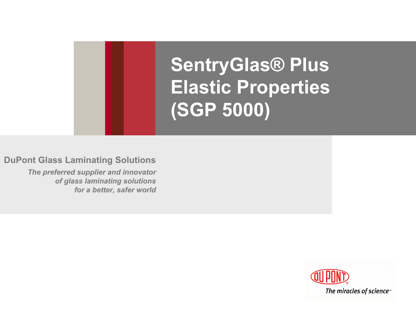# **SentryGlas® Plus Elastic Properties (SGP 5000)**

**DuPont Glass Laminating Solutions**

*The preferred supplier and innovator of glass laminating solutions for a better, safer world*

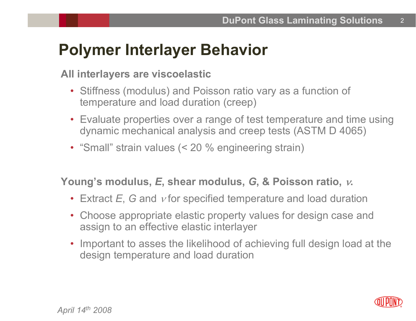### **Polymer Interlayer Behavior**

#### **All interlayers are viscoelastic**

- Stiffness (modulus) and Poisson ratio vary as a function of temperature and load duration (creep)
- Evaluate properties over a range of test temperature and time using dynamic mechanical analysis and creep tests (ASTM D 4065)
- "Small" strain values (< 20 % engineering strain)

#### **Young's modulus,**  *E***, shear modulus,**  *G***, & Poisson ratio,**  ν**.**

- Extract *E*, *G* and ν for specified temperature and load duration
- Choose appropriate elastic property values for design case and assign to an effective elastic interlayer
- Important to asses the likelihood of achieving full design load at the design temperature and load duration

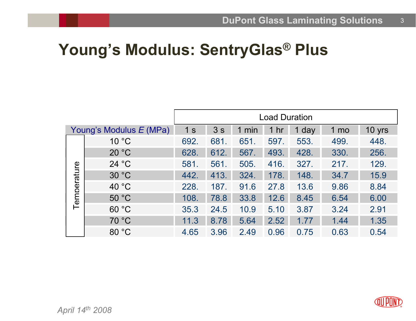### **Young's Modulus: SentryGlas ® Plus**

|                         |                 | <b>Load Duration</b> |      |       |                 |       |      |        |  |
|-------------------------|-----------------|----------------------|------|-------|-----------------|-------|------|--------|--|
| Young's Modulus E (MPa) |                 | 1 <sub>s</sub>       | 3s   | 1 min | 1 <sub>hr</sub> | 1 day | 1 mo | 10 yrs |  |
| Temperature             | 10 °C           | 692.                 | 681  | 651.  | 597.            | 553.  | 499. | 448.   |  |
|                         | 20 °C           | 628.                 | 612. | 567.  | 493.            | 428.  | 330. | 256.   |  |
|                         | 24 °C           | 581.                 | 561. | 505.  | 416.            | 327.  | 217. | 129.   |  |
|                         | 30 °C           | 442.                 | 413. | 324.  | 178.            | 148.  | 34.7 | 15.9   |  |
|                         | 40 $^{\circ}$ C | 228.                 | 187. | 91.6  | 27.8            | 13.6  | 9.86 | 8.84   |  |
|                         | 50 °C           | 108.                 | 78.8 | 33.8  | 12.6            | 8.45  | 6.54 | 6.00   |  |
|                         | 60 °C           | 35.3                 | 24.5 | 10.9  | 5.10            | 3.87  | 3.24 | 2.91   |  |
|                         | 70 °C           | 11.3                 | 8.78 | 5.64  | 2.52            | 1.77  | 1.44 | 1.35   |  |
|                         | 80 °C           | 4.65                 | 3.96 | 2.49  | 0.96            | 0.75  | 0.63 | 0.54   |  |

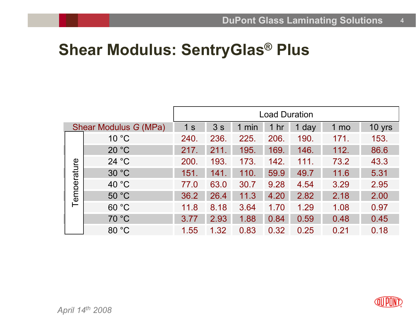## **Shear Modulus: SentryGlas ® Plus**

|                       |                | <b>Load Duration</b> |      |       |                 |       |      |        |  |
|-----------------------|----------------|----------------------|------|-------|-----------------|-------|------|--------|--|
| Shear Modulus G (MPa) |                | 1 <sub>s</sub>       | 3s   | 1 min | 1 <sub>hr</sub> | 1 day | 1 mo | 10 yrs |  |
| Temperature           | 10 °C          | 240.                 | 236. | 225.  | 206.            | 190.  | 171. | 153.   |  |
|                       | 20 °C          | 217.                 | 211  | 195.  | 169.            | 146.  | 112. | 86.6   |  |
|                       | 24 °C          | 200.                 | 193. | 173.  | 142.            | 111.  | 73.2 | 43.3   |  |
|                       | 30 °C          | 151.                 | 141. | 110.  | 59.9            | 49.7  | 11.6 | 5.31   |  |
|                       | $40^{\circ}$ C | 77.0                 | 63.0 | 30.7  | 9.28            | 4.54  | 3.29 | 2.95   |  |
|                       | $50^{\circ}$ C | 36.2                 | 26.4 | 11.3  | 4.20            | 2.82  | 2.18 | 2.00   |  |
|                       | 60 °C          | 11.8                 | 8.18 | 3.64  | 1.70            | 1.29  | 1.08 | 0.97   |  |
|                       | 70 °C          | 3.77                 | 2.93 | 1.88  | 0.84            | 0.59  | 0.48 | 0.45   |  |
|                       | 80 °C          | 1.55                 | 1.32 | 0.83  | 0.32            | 0.25  | 0.21 | 0.18   |  |

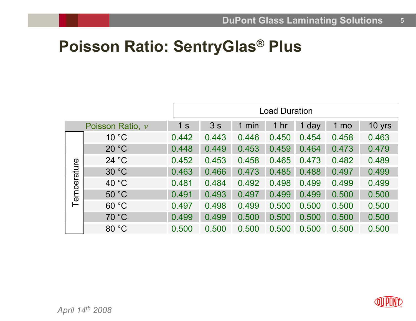### **Poisson Ratio: SentryGlas ® Plus**

|             |                      |                | <b>Load Duration</b> |          |                 |       |                 |        |  |  |
|-------------|----------------------|----------------|----------------------|----------|-----------------|-------|-----------------|--------|--|--|
|             | Poisson Ratio, $\nu$ | 1 <sub>s</sub> | 3s                   | min<br>1 | 1 <sub>hr</sub> | 1 day | 1 <sub>mo</sub> | 10 yrs |  |  |
| Temperature | 10 °C                | 0.442          | 0.443                | 0.446    | 0.450           | 0.454 | 0.458           | 0.463  |  |  |
|             | 20 °C                | 0.448          | 0.449                | 0.453    | 0.459           | 0.464 | 0.473           | 0.479  |  |  |
|             | 24 °C                | 0.452          | 0.453                | 0.458    | 0.465           | 0.473 | 0.482           | 0.489  |  |  |
|             | 30 °C                | 0.463          | 0.466                | 0.473    | 0.485           | 0.488 | 0.497           | 0.499  |  |  |
|             | 40 °C                | 0.481          | 0.484                | 0.492    | 0.498           | 0.499 | 0.499           | 0.499  |  |  |
|             | 50 °C                | 0.491          | 0.493                | 0.497    | 0.499           | 0.499 | 0.500           | 0.500  |  |  |
|             | 60 °C                | 0.497          | 0.498                | 0.499    | 0.500           | 0.500 | 0.500           | 0.500  |  |  |
|             | 70 °C                | 0.499          | 0.499                | 0.500    | 0.500           | 0.500 | 0.500           | 0.500  |  |  |
|             | 80 °C                | 0.500          | 0.500                | 0.500    | 0.500           | 0.500 | 0.500           | 0.500  |  |  |

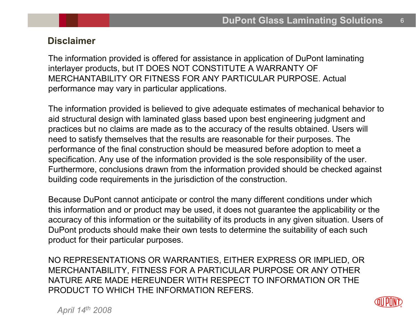#### **Disclaimer**

The information provided is offered for assistance in application of DuPont laminating interlayer products, but IT DOES NOT CONSTITUTE A WARRANTY OF MERCHANTABILITY OR FITNESS FOR ANY PARTICULAR PURPOSE. Actual performance may vary in particular applications.

The information provided is believed to give adequate estimates of mechanical behavior to aid structural design with laminated glass based upon best engineering judgment and practices but no claims are made as to the accuracy of the results obtained. Users will need to satisfy themselves that the results are reasonable for their purposes. The performance of the final construction should be measured before adoption to meet a specification. Any use of the information provided is the sole responsibility of the user. Furthermore, conclusions drawn from the information provided should be checked against building code requirements in the jurisdiction of the construction.

Because DuPont cannot anticipate or control the many different conditions under which this information and or product may be used, it does not guarantee the applicability or the accuracy of this information or the suitability of its products in any given situation. Users of DuPont products should make their own tests to determine the suitability of each such product for their particular purposes.

NO REPRESENTATIONS OR WARRANTIES, EITHER EXPRESS OR IMPLIED, OR MERCHANTABILITY, FITNESS FOR A PARTICULAR PURPOSE OR ANY OTHER NATURE ARE MADE HEREUNDER WITH RESPECT TO INFORMATION OR THE PRODUCT TO WHICH THE INFORMATION REFERS.